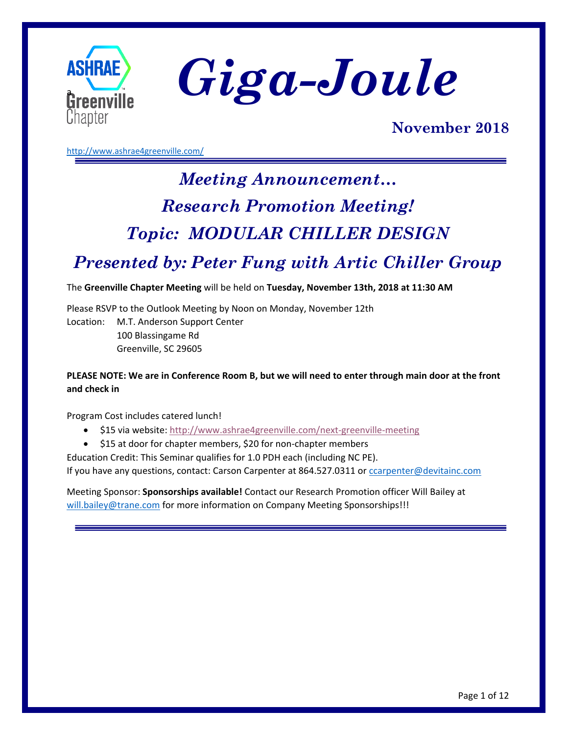

ASHRAE *Giga-Joule* 

## **November 2018**

<http://www.ashrae4greenville.com/>

# *Meeting Announcement… Research Promotion Meeting! Topic: MODULAR CHILLER DESIGN*

## *Presented by: Peter Fung with Artic Chiller Group*

The **Greenville Chapter Meeting** will be held on **Tuesday, November 13th, 2018 at 11:30 AM**

Please RSVP to the Outlook Meeting by Noon on Monday, November 12th Location: M.T. Anderson Support Center 100 Blassingame Rd Greenville, SC 29605

## **PLEASE NOTE: We are in Conference Room B, but we will need to enter through main door at the front and check in**

Program Cost includes catered lunch!

- \$15 via website:<http://www.ashrae4greenville.com/next-greenville-meeting>
- \$15 at door for chapter members, \$20 for non-chapter members

Education Credit: This Seminar qualifies for 1.0 PDH each (including NC PE). If you have any questions, contact: Carson Carpenter at 864.527.0311 or [ccarpenter@devitainc.com](mailto:ccarpenter@devitainc.com)

Meeting Sponsor: **Sponsorships available!** Contact our Research Promotion officer Will Bailey at [will.bailey@trane.com](mailto:will.bailey@trane.com) for more information on Company Meeting Sponsorships!!!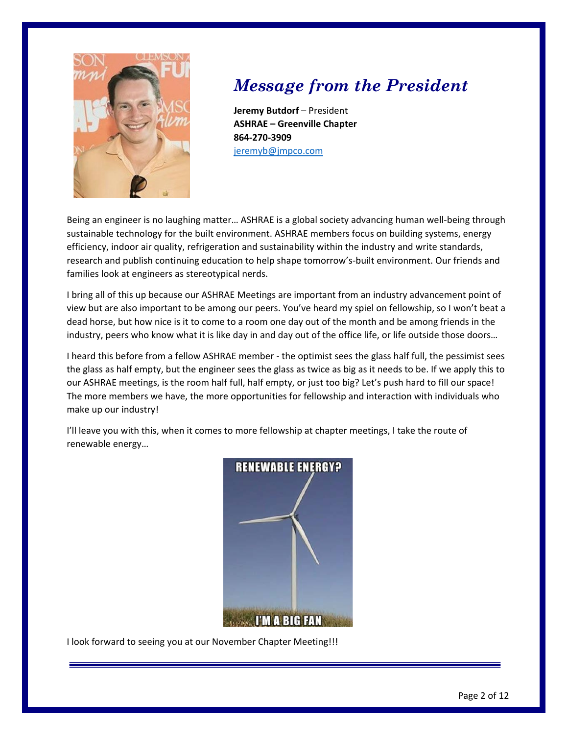

# *Message from the President*

**Jeremy Butdorf** – President **ASHRAE – Greenville Chapter 864-270-3909** [jeremyb@jmpco.com](mailto:jeremyb@jmpco.com)

Being an engineer is no laughing matter… ASHRAE is a global society advancing human well-being through sustainable technology for the built environment. ASHRAE members focus on building systems, energy efficiency, indoor air quality, refrigeration and sustainability within the industry and write standards, research and publish continuing education to help shape tomorrow's-built environment. Our friends and families look at engineers as stereotypical nerds.

I bring all of this up because our ASHRAE Meetings are important from an industry advancement point of view but are also important to be among our peers. You've heard my spiel on fellowship, so I won't beat a dead horse, but how nice is it to come to a room one day out of the month and be among friends in the industry, peers who know what it is like day in and day out of the office life, or life outside those doors…

I heard this before from a fellow ASHRAE member - the optimist sees the glass half full, the pessimist sees the glass as half empty, but the engineer sees the glass as twice as big as it needs to be. If we apply this to our ASHRAE meetings, is the room half full, half empty, or just too big? Let's push hard to fill our space! The more members we have, the more opportunities for fellowship and interaction with individuals who make up our industry!

I'll leave you with this, when it comes to more fellowship at chapter meetings, I take the route of renewable energy…



I look forward to seeing you at our November Chapter Meeting!!!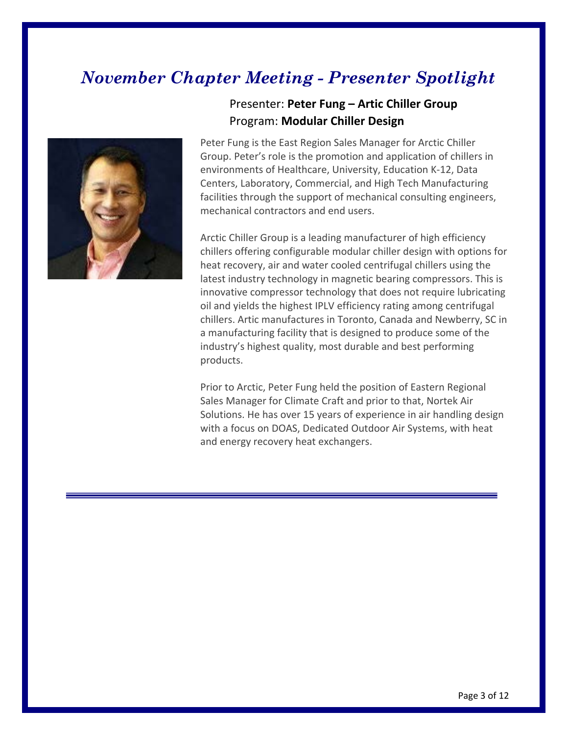# *November Chapter Meeting - Presenter Spotlight*



## Presenter: **Peter Fung – Artic Chiller Group** Program: **Modular Chiller Design**

Peter Fung is the East Region Sales Manager for Arctic Chiller Group. Peter's role is the promotion and application of chillers in environments of Healthcare, University, Education K-12, Data Centers, Laboratory, Commercial, and High Tech Manufacturing facilities through the support of mechanical consulting engineers, mechanical contractors and end users.

Arctic Chiller Group is a leading manufacturer of high efficiency chillers offering configurable modular chiller design with options for heat recovery, air and water cooled centrifugal chillers using the latest industry technology in magnetic bearing compressors. This is innovative compressor technology that does not require lubricating oil and yields the highest IPLV efficiency rating among centrifugal chillers. Artic manufactures in Toronto, Canada and Newberry, SC in a manufacturing facility that is designed to produce some of the industry's highest quality, most durable and best performing products.

Prior to Arctic, Peter Fung held the position of Eastern Regional Sales Manager for Climate Craft and prior to that, Nortek Air Solutions. He has over 15 years of experience in air handling design with a focus on DOAS, Dedicated Outdoor Air Systems, with heat and energy recovery heat exchangers.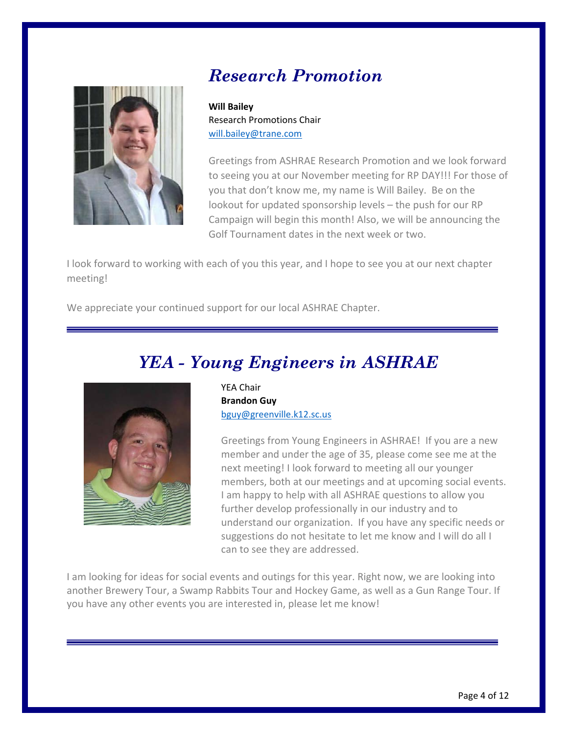## *Research Promotion*

**Will Bailey** Research Promotions Chair [will.bailey@trane.com](mailto:will.bailey@trane.com)

Greetings from ASHRAE Research Promotion and we look forward to seeing you at our November meeting for RP DAY!!! For those of you that don't know me, my name is Will Bailey. Be on the lookout for updated sponsorship levels – the push for our RP Campaign will begin this month! Also, we will be announcing the Golf Tournament dates in the next week or two.

I look forward to working with each of you this year, and I hope to see you at our next chapter meeting!

We appreciate your continued support for our local ASHRAE Chapter.

# *YEA - Young Engineers in ASHRAE*



YEA Chair **Brandon Guy** [bguy@greenville.k12.sc.us](mailto:bguy@greenville.k12.sc.us)

Greetings from Young Engineers in ASHRAE! If you are a new member and under the age of 35, please come see me at the next meeting! I look forward to meeting all our younger members, both at our meetings and at upcoming social events. I am happy to help with all ASHRAE questions to allow you further develop professionally in our industry and to understand our organization. If you have any specific needs or suggestions do not hesitate to let me know and I will do all I can to see they are addressed.

I am looking for ideas for social events and outings for this year. Right now, we are looking into another Brewery Tour, a Swamp Rabbits Tour and Hockey Game, as well as a Gun Range Tour. If you have any other events you are interested in, please let me know!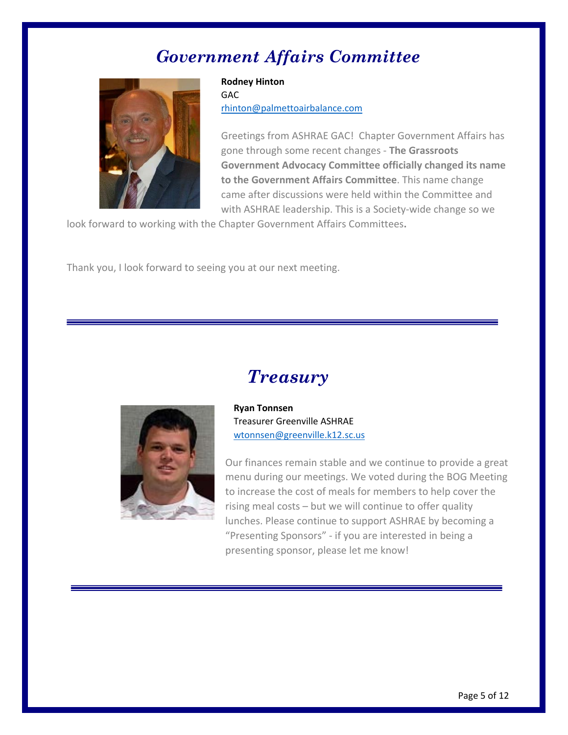## *Government Affairs Committee*



## **Rodney Hinton** GAC [rhinton@palmettoairbalance.com](mailto:rhinton@palmettoairbalance.com)

Greetings from ASHRAE GAC! Chapter Government Affairs has gone through some recent changes - **The Grassroots Government Advocacy Committee officially changed its name to the Government Affairs Committee**. This name change came after discussions were held within the Committee and with ASHRAE leadership. This is a Society-wide change so we

look forward to working with the Chapter Government Affairs Committees**.**

Thank you, I look forward to seeing you at our next meeting.





**Ryan Tonnsen** Treasurer Greenville ASHRAE [wtonnsen@greenville.k12.sc.us](mailto:wtonnsen@greenville.k12.sc.us)

Our finances remain stable and we continue to provide a great menu during our meetings. We voted during the BOG Meeting to increase the cost of meals for members to help cover the rising meal costs – but we will continue to offer quality lunches. Please continue to support ASHRAE by becoming a "Presenting Sponsors" - if you are interested in being a presenting sponsor, please let me know!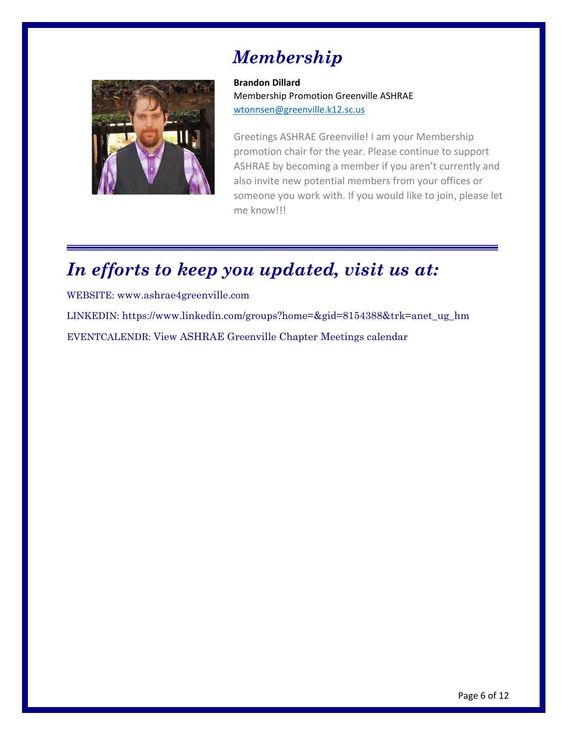# *Membership*



**Brandon Dillard** Membership Promotion Greenville ASHRAE [wtonnsen@greenville.k12.sc.us](mailto:wtonnsen@greenville.k12.sc.us)

Greetings ASHRAE Greenville! I am your Membership promotion chair for the year. Please continue to support ASHRAE by becoming a member if you aren't currently and also invite new potential members from your offices or someone you work with. If you would like to join, please let me know!!!

# *In efforts to keep you updated, visit us at:*

WEBSITE: [www.ashrae4greenville.com](http://www.ashrae4greenville.com/) LINKEDIN: [https://www.linkedin.com/groups?home=&gid=8154388&trk=anet\\_ug\\_hm](https://www.linkedin.com/groups?home=&gid=8154388&trk=anet_ug_hm) EVENTCALENDR: [View ASHRAE Greenville Chapter Meetings calendar](http://www.google.com/calendar/embed?src=MzlnNDY4aDhxbWQycmc5OGdjNGJ1cm9rYjBAZ3JvdXAuY2FsZW5kYXIuZ29vZ2xlLmNvbQ)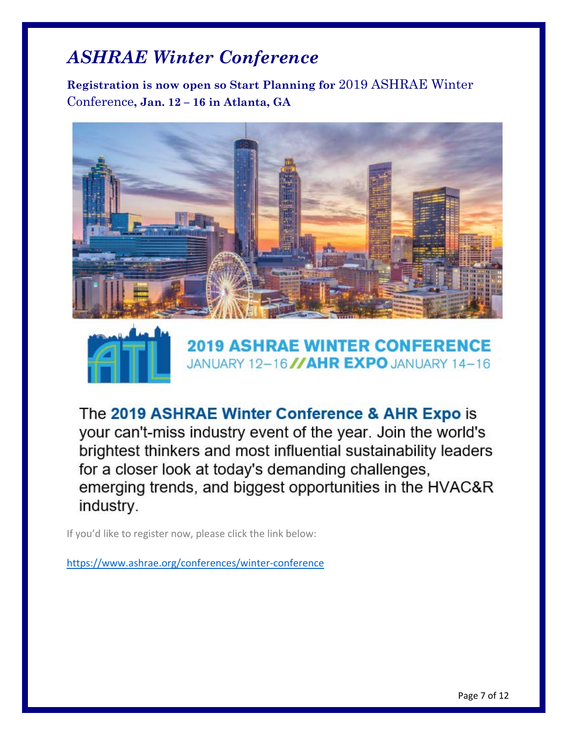# *ASHRAE Winter Conference*

**Registration is now open so Start Planning for** 2019 ASHRAE Winter Conference**, Jan. 12 – 16 in Atlanta, GA**





**2019 ASHRAE WINTER CONFERENCE** JANUARY 12-16 //AHR EXPO JANUARY 14-16

The 2019 ASHRAE Winter Conference & AHR Expo is your can't-miss industry event of the year. Join the world's brightest thinkers and most influential sustainability leaders for a closer look at today's demanding challenges, emerging trends, and biggest opportunities in the HVAC&R industry.

If you'd like to register now, please click the link below:

<https://www.ashrae.org/conferences/winter-conference>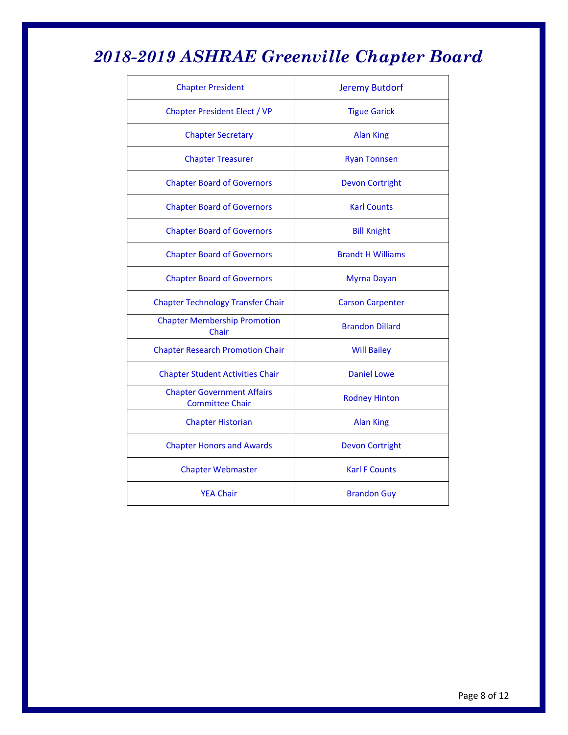# *2018-2019 ASHRAE Greenville Chapter Board*

| <b>Chapter President</b>                                    | <b>Jeremy Butdorf</b>    |
|-------------------------------------------------------------|--------------------------|
| <b>Chapter President Elect / VP</b>                         | <b>Tigue Garick</b>      |
| <b>Chapter Secretary</b>                                    | <b>Alan King</b>         |
| <b>Chapter Treasurer</b>                                    | <b>Ryan Tonnsen</b>      |
| <b>Chapter Board of Governors</b>                           | <b>Devon Cortright</b>   |
| <b>Chapter Board of Governors</b>                           | <b>Karl Counts</b>       |
| <b>Chapter Board of Governors</b>                           | <b>Bill Knight</b>       |
| <b>Chapter Board of Governors</b>                           | <b>Brandt H Williams</b> |
| <b>Chapter Board of Governors</b>                           | <b>Myrna Dayan</b>       |
| <b>Chapter Technology Transfer Chair</b>                    | <b>Carson Carpenter</b>  |
| <b>Chapter Membership Promotion</b><br>Chair                | <b>Brandon Dillard</b>   |
| <b>Chapter Research Promotion Chair</b>                     | <b>Will Bailey</b>       |
| <b>Chapter Student Activities Chair</b>                     | <b>Daniel Lowe</b>       |
| <b>Chapter Government Affairs</b><br><b>Committee Chair</b> | <b>Rodney Hinton</b>     |
| <b>Chapter Historian</b>                                    | <b>Alan King</b>         |
| <b>Chapter Honors and Awards</b>                            | <b>Devon Cortright</b>   |
| <b>Chapter Webmaster</b>                                    | <b>Karl F Counts</b>     |
| <b>YEA Chair</b>                                            | <b>Brandon Guy</b>       |
|                                                             |                          |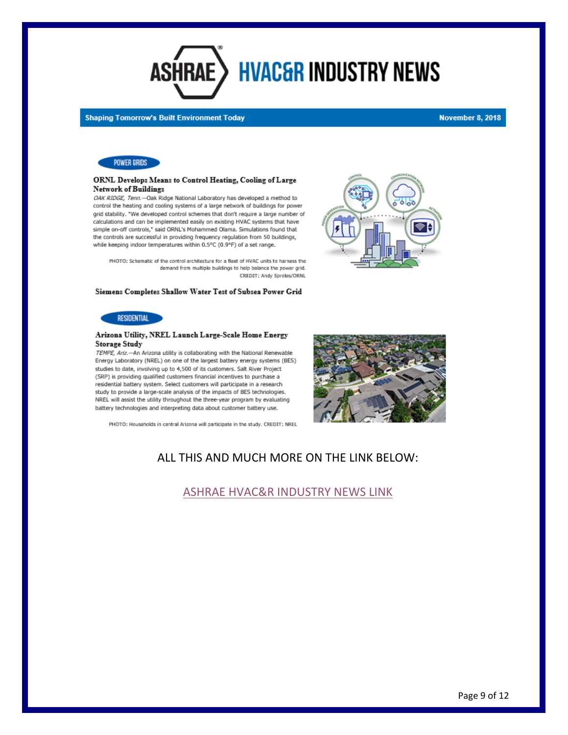

#### **Shaping Tomorrow's Built Environment Today**

#### **November 8, 2018**



#### ORNL Develops Means to Control Heating, Cooling of Large Network of Buildings

OAK RIDGE, Tenn.-Oak Ridge National Laboratory has developed a method to control the heating and cooling systems of a large network of buildings for power grid stability. "We developed control schemes that don't require a large number of calculations and can be implemented easily on existing HVAC systems that have simple on-off controls," said ORNL's Mohammed Olama. Simulations found that the controls are successful in providing frequency regulation from 50 buildings, while keeping indoor temperatures within 0.5°C (0.9°F) of a set range.

PHOTO: Schematic of the control architecture for a fleet of HVAC units to harness the demand from multiple buildings to help balance the power grid. CREDIT: Andy Sproles/ORNL

#### Siemens Completes Shallow Water Test of Subsea Power Grid



#### Arizona Utility, NREL Launch Large-Scale Home Energy Storage Study

TEMPE, Ariz.-An Arizona utility is collaborating with the National Renewable Energy Laboratory (NREL) on one of the largest battery energy systems (BES) studies to date, involving up to 4,500 of its customers. Salt River Project (SRP) is providing qualified customers financial incentives to purchase a residential battery system. Select customers will participate in a research study to provide a large-scale analysis of the impacts of BES technologies. NREL will assist the utility throughout the three-year program by evaluating battery technologies and interpreting data about customer battery use.

PHOTO: Households in central Arizona will participate in the study. CREDIT: NREL



## ALL THIS AND MUCH MORE ON THE LINK BELOW:

## [ASHRAE HVAC&R INDUSTRY NEWS LINK](https://contentsharing.net/actions/email_web_version.cfm?ep=Ka8X69rHJOE_gcOnb4sjKRuCAv09927VGSiqvsXTFTs_by5tSQ03I5ttmXzO62Bg6-eRr9X3dQPo7p5r53x2FDk77kXs0VwypoDb22rjS1s3SucRW0QRfc02YDpaQzhV)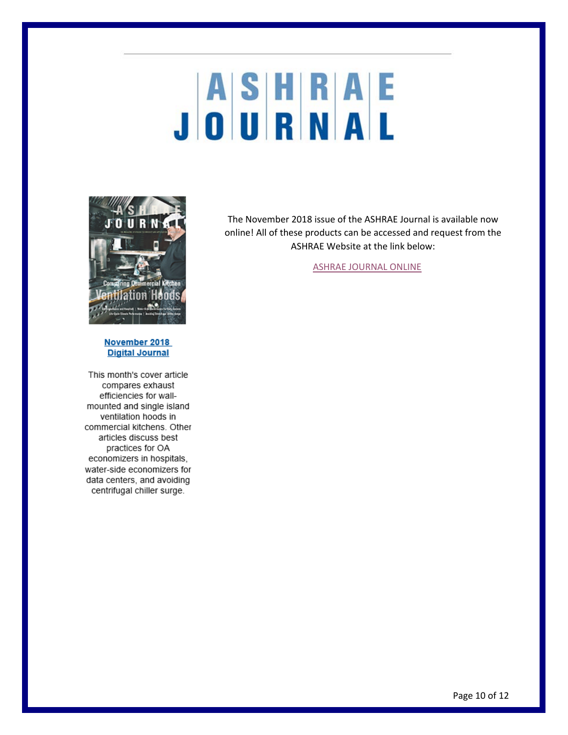# JASHRAE



### November 2018 **Digital Journal**

This month's cover article compares exhaust efficiencies for wallmounted and single island ventilation hoods in commercial kitchens. Other articles discuss best practices for OA economizers in hospitals, water-side economizers for data centers, and avoiding centrifugal chiller surge.

The November 2018 issue of the ASHRAE Journal is available now online! All of these products can be accessed and request from the ASHRAE Website at the link below:

[ASHRAE JOURNAL ONLINE](https://www.ashrae.org/technical-resources/ashrae-journal)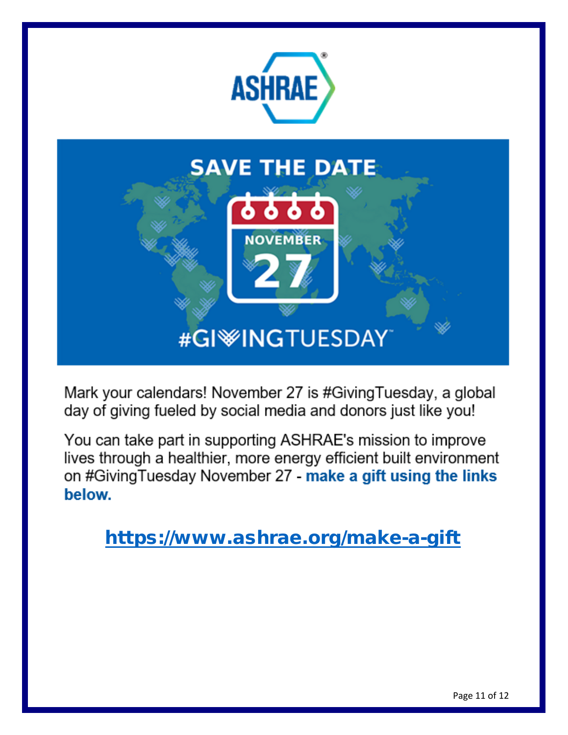

# **SAVE THE DATE**

**NOVEMBER** 

# #GI<sup>W</sup>INGTUESDAY

Mark your calendars! November 27 is #Giving Tuesday, a global day of giving fueled by social media and donors just like you!

You can take part in supporting ASHRAE's mission to improve lives through a healthier, more energy efficient built environment on #Giving Tuesday November 27 - make a gift using the links below.

<https://www.ashrae.org/make-a-gift>